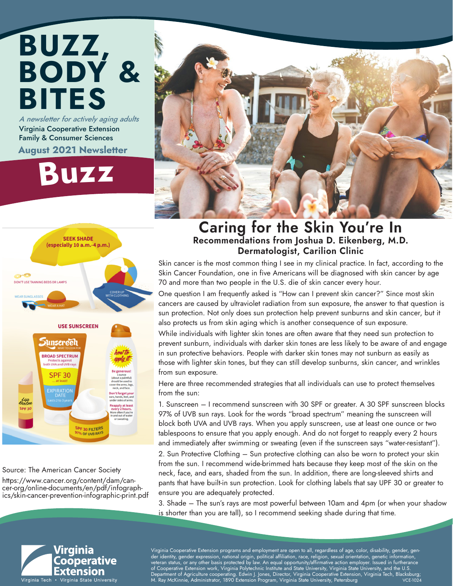## BUZZ, BODY & BITES A newsletter for actively aging adults

Virginia Cooperative Extension Family & Consumer Sciences August 2021 Newsletter

## Buz<sup>z</sup>





#### Source: The American Cancer Society

https://www.cancer.org/content/dam/can- cer-org/online-documents/en/pdf/infograph- ics/skin-cancer-prevention-infographic-print.pdf

## Caring for the Skin You're In Recommendations from Joshua D. Eikenberg, M.D. Dermatologist, Carilion Clinic

Skin cancer is the most common thing I see in my clinical practice. In fact, according to the Skin Cancer Foundation, one in five Americans will be diagnosed with skin cancer by age 70 and more than two people in the U.S. die of skin cancer every hour.

One question I am frequently asked is "How can I prevent skin cancer?" Since most skin cancers are caused by ultraviolet radiation from sun exposure, the answer to that question is sun protection. Not only does sun protection help prevent sunburns and skin cancer, but it also protects us from skin aging which is another consequence of sun exposure.

While individuals with lighter skin tones are often aware that they need sun protection to prevent sunburn, individuals with darker skin tones are less likely to be aware of and engage in sun protective behaviors. People with darker skin tones may not sunburn as easily as those with lighter skin tones, but they can still develop sunburns, skin cancer, and wrinkles from sun exposure.

Here are three recommended strategies that all individuals can use to protect themselves from the sun:

1. Sunscreen – I recommend sunscreen with 30 SPF or greater. A 30 SPF sunscreen blocks 97% of UVB sun rays. Look for the words "broad spectrum" meaning the sunscreen will block both UVA and UVB rays. When you apply sunscreen, use at least one ounce or two tablespoons to ensure that you apply enough. And do not forget to reapply every 2 hours and immediately after swimming or sweating (even if the sunscreen says "water-resistant").

2. Sun Protective Clothing – Sun protective clothing can also be worn to protect your skin from the sun. I recommend wide-brimmed hats because they keep most of the skin on the neck, face, and ears, shaded from the sun. In addition, there are long-sleeved shirts and pants that have built-in sun protection. Look for clothing labels that say UPF 30 or greater to ensure you are adequately protected.

3. Shade – The sun's rays are most powerful between 10am and 4pm (or when your shadow is shorter than you are tall), so I recommend seeking shade during that time.



Virginia Cooperative Extension programs and employment are open to all, regardless of age, color, disability, gender, gender identity, gender expression, national origin, political affiliation, race, religion, sexual orientation, genetic information, veteran status, or any other basis protected by law. An equal opportunity/affirmative action employer. Issued in furtherance of Cooperative Extension work, Virginia Polytechnic Institute and State University, Virginia State University, and the U.S. , Department of Agriculture cooperating. Edwin J. Jones, Director, Virginia Cooperative Extension, Virginia Tech, Blacksburg;<br>M. Ray McKinnie, Administrator, 1890 Extension Program, Virginia State University, Petersburg